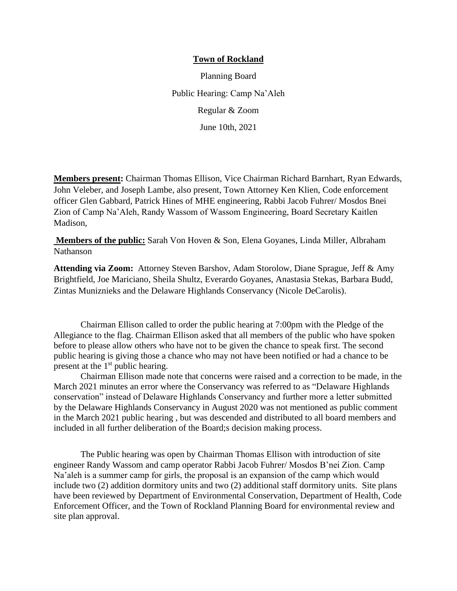## **Town of Rockland**

Planning Board Public Hearing: Camp Na'Aleh Regular & Zoom June 10th, 2021

**Members present:** Chairman Thomas Ellison, Vice Chairman Richard Barnhart, Ryan Edwards, John Veleber, and Joseph Lambe, also present, Town Attorney Ken Klien, Code enforcement officer Glen Gabbard, Patrick Hines of MHE engineering, Rabbi Jacob Fuhrer/ Mosdos Bnei Zion of Camp Na'Aleh, Randy Wassom of Wassom Engineering, Board Secretary Kaitlen Madison.

**Members of the public:** Sarah Von Hoven & Son, Elena Goyanes, Linda Miller, Albraham Nathanson

**Attending via Zoom:** Attorney Steven Barshov, Adam Storolow, Diane Sprague, Jeff & Amy Brightfield, Joe Mariciano, Sheila Shultz, Everardo Goyanes, Anastasia Stekas, Barbara Budd, Zintas Muniznieks and the Delaware Highlands Conservancy (Nicole DeCarolis).

Chairman Ellison called to order the public hearing at 7:00pm with the Pledge of the Allegiance to the flag. Chairman Ellison asked that all members of the public who have spoken before to please allow others who have not to be given the chance to speak first. The second public hearing is giving those a chance who may not have been notified or had a chance to be present at the  $1<sup>st</sup>$  public hearing.

Chairman Ellison made note that concerns were raised and a correction to be made, in the March 2021 minutes an error where the Conservancy was referred to as "Delaware Highlands conservation" instead of Delaware Highlands Conservancy and further more a letter submitted by the Delaware Highlands Conservancy in August 2020 was not mentioned as public comment in the March 2021 public hearing , but was descended and distributed to all board members and included in all further deliberation of the Board;s decision making process.

The Public hearing was open by Chairman Thomas Ellison with introduction of site engineer Randy Wassom and camp operator Rabbi Jacob Fuhrer/ Mosdos B'nei Zion. Camp Na'aleh is a summer camp for girls, the proposal is an expansion of the camp which would include two (2) addition dormitory units and two (2) additional staff dormitory units. Site plans have been reviewed by Department of Environmental Conservation, Department of Health, Code Enforcement Officer, and the Town of Rockland Planning Board for environmental review and site plan approval.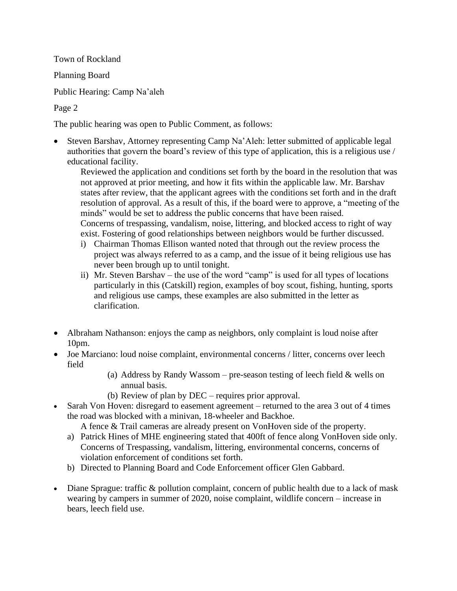Town of Rockland Planning Board Public Hearing: Camp Na'aleh Page 2

The public hearing was open to Public Comment, as follows:

• Steven Barshav, Attorney representing Camp Na'Aleh: letter submitted of applicable legal authorities that govern the board's review of this type of application, this is a religious use / educational facility.

Reviewed the application and conditions set forth by the board in the resolution that was not approved at prior meeting, and how it fits within the applicable law. Mr. Barshav states after review, that the applicant agrees with the conditions set forth and in the draft resolution of approval. As a result of this, if the board were to approve, a "meeting of the minds" would be set to address the public concerns that have been raised. Concerns of trespassing, vandalism, noise, littering, and blocked access to right of way exist. Fostering of good relationships between neighbors would be further discussed.

- i) Chairman Thomas Ellison wanted noted that through out the review process the project was always referred to as a camp, and the issue of it being religious use has never been brough up to until tonight.
- ii) Mr. Steven Barshav the use of the word "camp" is used for all types of locations particularly in this (Catskill) region, examples of boy scout, fishing, hunting, sports and religious use camps, these examples are also submitted in the letter as clarification.
- Albraham Nathanson: enjoys the camp as neighbors, only complaint is loud noise after 10pm.
- Joe Marciano: loud noise complaint, environmental concerns / litter, concerns over leech field
	- (a) Address by Randy Wassom pre-season testing of leech field  $&$  wells on annual basis.
	- (b) Review of plan by DEC requires prior approval.
- Sarah Von Hoven: disregard to easement agreement returned to the area 3 out of 4 times the road was blocked with a minivan, 18-wheeler and Backhoe.

A fence & Trail cameras are already present on VonHoven side of the property.

- a) Patrick Hines of MHE engineering stated that 400ft of fence along VonHoven side only. Concerns of Trespassing, vandalism, littering, environmental concerns, concerns of violation enforcement of conditions set forth.
- b) Directed to Planning Board and Code Enforcement officer Glen Gabbard.
- Diane Sprague: traffic & pollution complaint, concern of public health due to a lack of mask wearing by campers in summer of 2020, noise complaint, wildlife concern – increase in bears, leech field use.